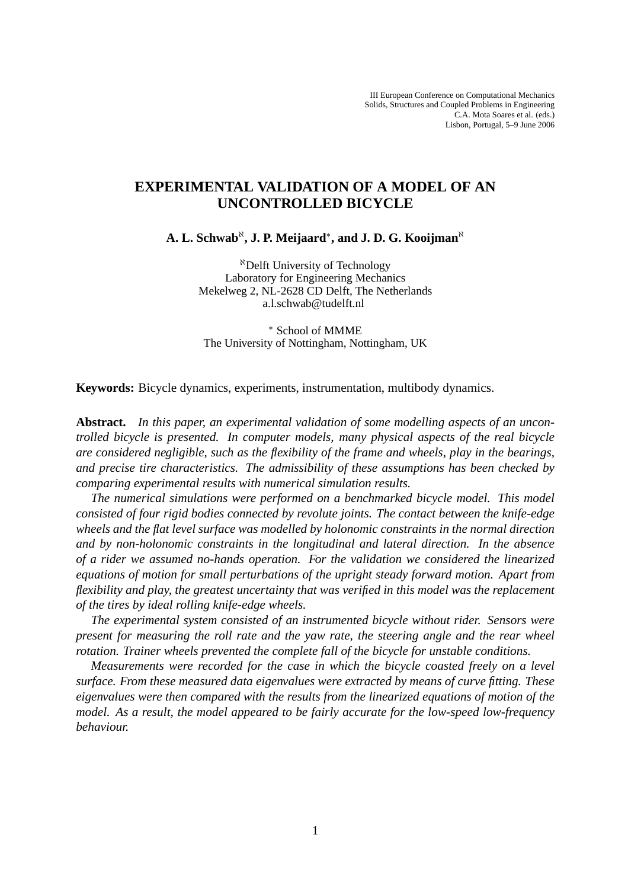# **EXPERIMENTAL VALIDATION OF A MODEL OF AN UNCONTROLLED BICYCLE**

**A. L. Schwab<sup>ℵ</sup>, J. P. Meijaard\*, and J. D. G. Kooijman<sup>๙</sup>** 

<sup>ℵ</sup>Delft University of Technology Laboratory for Engineering Mechanics Mekelweg 2, NL-2628 CD Delft, The Netherlands a.l.schwab@tudelft.nl

<sup>∗</sup> School of MMME The University of Nottingham, Nottingham, UK

**Keywords:** Bicycle dynamics, experiments, instrumentation, multibody dynamics.

**Abstract.** *In this paper, an experimental validation of some modelling aspects of an uncontrolled bicycle is presented. In computer models, many physical aspects of the real bicycle are considered negligible, such as the flexibility of the frame and wheels, play in the bearings, and precise tire characteristics. The admissibility of these assumptions has been checked by comparing experimental results with numerical simulation results.*

*The numerical simulations were performed on a benchmarked bicycle model. This model consisted of four rigid bodies connected by revolute joints. The contact between the knife-edge wheels and the flat level surface was modelled by holonomic constraints in the normal direction and by non-holonomic constraints in the longitudinal and lateral direction. In the absence of a rider we assumed no-hands operation. For the validation we considered the linearized equations of motion for small perturbations of the upright steady forward motion. Apart from flexibility and play, the greatest uncertainty that was verified in this model was the replacement of the tires by ideal rolling knife-edge wheels.*

*The experimental system consisted of an instrumented bicycle without rider. Sensors were present for measuring the roll rate and the yaw rate, the steering angle and the rear wheel rotation. Trainer wheels prevented the complete fall of the bicycle for unstable conditions.*

*Measurements were recorded for the case in which the bicycle coasted freely on a level surface. From these measured data eigenvalues were extracted by means of curve fitting. These eigenvalues were then compared with the results from the linearized equations of motion of the model. As a result, the model appeared to be fairly accurate for the low-speed low-frequency behaviour.*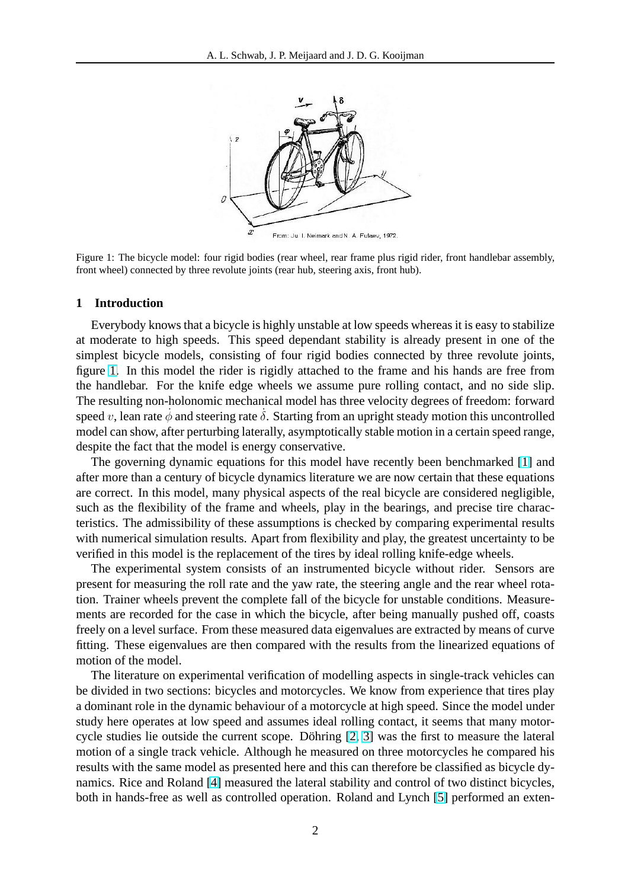

Figure 1: The bicycle model: four rigid bodies (rear wheel, rear frame plus rigid rider, front handlebar assembly, front wheel) connected by three revolute joints (rear hub, steering axis, front hub).

#### **1 Introduction**

Everybody knows that a bicycle is highly unstable at low speeds whereas it is easy to stabilize at moderate to high speeds. This speed dependant stability is already present in one of the simplest bicycle models, consisting of four rigid bodies connected by three revolute joints, figure 1. In this model the rider is rigidly attached to the frame and his hands are free from the handlebar. For the knife edge wheels we assume pure rolling contact, and no side slip. The resulting non-holonomic mechanical model has three velocity degrees of freedom: forward speed v, lean rate  $\dot{\phi}$  and steering rate  $\dot{\delta}$ . Starting from an upright steady motion this uncontrolled model can show, after perturbing laterally, asymptotically stable motion in a certain speed range, despite the fact that the model is energy conservative.

The governing dynamic equations for this model have recently been benchmarked [\[1\]](#page-15-0) and after more than a century of bicycle dynamics literature we are now certain that these equations are correct. In this model, many physical aspects of the real bicycle are considered negligible, such as the flexibility of the frame and wheels, play in the bearings, and precise tire characteristics. The admissibility of these assumptions is checked by comparing experimental results with numerical simulation results. Apart from flexibility and play, the greatest uncertainty to be verified in this model is the replacement of the tires by ideal rolling knife-edge wheels.

The experimental system consists of an instrumented bicycle without rider. Sensors are present for measuring the roll rate and the yaw rate, the steering angle and the rear wheel rotation. Trainer wheels prevent the complete fall of the bicycle for unstable conditions. Measurements are recorded for the case in which the bicycle, after being manually pushed off, coasts freely on a level surface. From these measured data eigenvalues are extracted by means of curve fitting. These eigenvalues are then compared with the results from the linearized equations of motion of the model.

The literature on experimental verification of modelling aspects in single-track vehicles can be divided in two sections: bicycles and motorcycles. We know from experience that tires play a dominant role in the dynamic behaviour of a motorcycle at high speed. Since the model under study here operates at low speed and assumes ideal rolling contact, it seems that many motorcycle studies lie outside the current scope. Döhring  $[2, 3]$  $[2, 3]$  $[2, 3]$  $[2, 3]$  was the first to measure the lateral motion of a single track vehicle. Although he measured on three motorcycles he compared his results with the same model as presented here and this can therefore be classified as bicycle dynamics. Rice and Roland [\[4\]](#page-15-0) measured the lateral stability and control of two distinct bicycles, both in hands-free as well as controlled operation. Roland and Lynch [\[5\]](#page-15-0) performed an exten-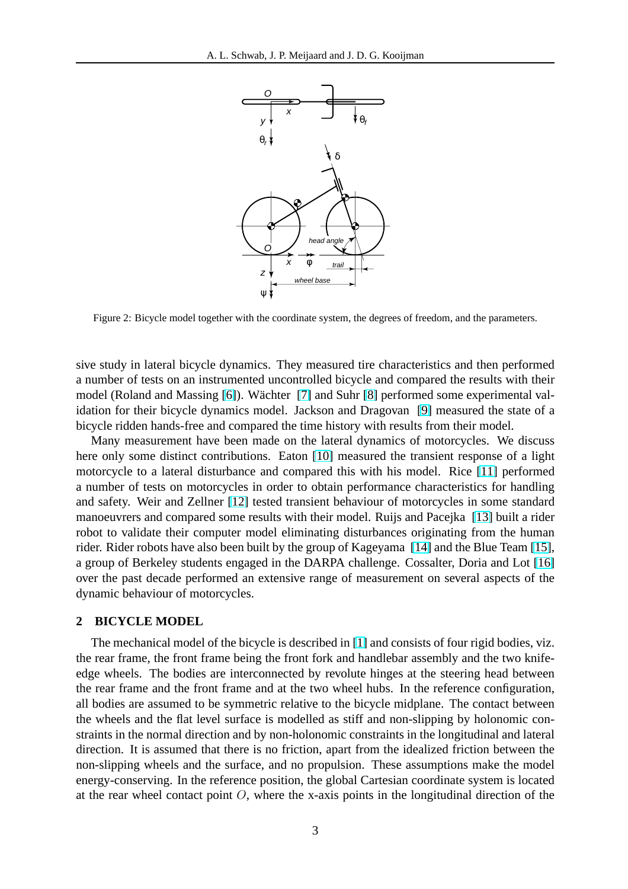<span id="page-2-0"></span>

Figure 2: Bicycle model together with the coordinate system, the degrees of freedom, and the parameters.

sive study in lateral bicycle dynamics. They measured tire characteristics and then performed a number of tests on an instrumented uncontrolled bicycle and compared the results with their model (Roland and Massing [\[6\]](#page-15-0)). Wächter [[7\]](#page-15-0) and Suhr [\[8\]](#page-15-0) performed some experimental validation for their bicycle dynamics model. Jackson and Dragovan [\[9\]](#page-15-0) measured the state of a bicycle ridden hands-free and compared the time history with results from their model.

Many measurement have been made on the lateral dynamics of motorcycles. We discuss here only some distinct contributions. Eaton [\[10\]](#page-15-0) measured the transient response of a light motorcycle to a lateral disturbance and compared this with his model. Rice [\[11\]](#page-15-0) performed a number of tests on motorcycles in order to obtain performance characteristics for handling and safety. Weir and Zellner [\[12\]](#page-15-0) tested transient behaviour of motorcycles in some standard manoeuvrers and compared some results with their model. Ruijs and Pacejka [\[13\]](#page-15-0) built a rider robot to validate their computer model eliminating disturbances originating from the human rider. Rider robots have also been built by the group of Kageyama [\[14\]](#page-15-0) and the Blue Team [\[15\]](#page-15-0), a group of Berkeley students engaged in the DARPA challenge. Cossalter, Doria and Lot [\[16\]](#page-15-0) over the past decade performed an extensive range of measurement on several aspects of the dynamic behaviour of motorcycles.

## **2 BICYCLE MODEL**

The mechanical model of the bicycle is described in [\[1\]](#page-15-0) and consists of four rigid bodies, viz. the rear frame, the front frame being the front fork and handlebar assembly and the two knifeedge wheels. The bodies are interconnected by revolute hinges at the steering head between the rear frame and the front frame and at the two wheel hubs. In the reference configuration, all bodies are assumed to be symmetric relative to the bicycle midplane. The contact between the wheels and the flat level surface is modelled as stiff and non-slipping by holonomic constraints in the normal direction and by non-holonomic constraints in the longitudinal and lateral direction. It is assumed that there is no friction, apart from the idealized friction between the non-slipping wheels and the surface, and no propulsion. These assumptions make the model energy-conserving. In the reference position, the global Cartesian coordinate system is located at the rear wheel contact point  $O$ , where the x-axis points in the longitudinal direction of the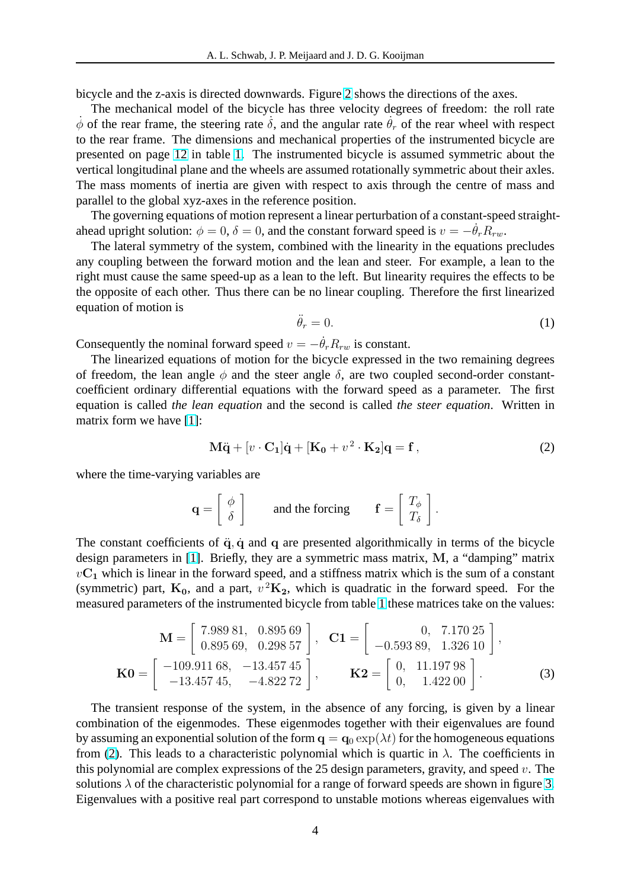bicycle and the z-axis is directed downwards. Figure [2](#page-2-0) shows the directions of the axes.

The mechanical model of the bicycle has three velocity degrees of freedom: the roll rate  $\dot{\phi}$  of the rear frame, the steering rate  $\dot{\delta}$ , and the angular rate  $\dot{\theta}_r$  of the rear wheel with respect to the rear frame. The dimensions and mechanical properties of the instrumented bicycle are presented on page [12](#page-11-0) in table [1.](#page-11-0) The instrumented bicycle is assumed symmetric about the vertical longitudinal plane and the wheels are assumed rotationally symmetric about their axles. The mass moments of inertia are given with respect to axis through the centre of mass and parallel to the global xyz-axes in the reference position.

The governing equations of motion represent a linear perturbation of a constant-speed straightahead upright solution:  $\phi = 0$ ,  $\delta = 0$ , and the constant forward speed is  $v = -\theta_r R_{rw}$ .

The lateral symmetry of the system, combined with the linearity in the equations precludes any coupling between the forward motion and the lean and steer. For example, a lean to the right must cause the same speed-up as a lean to the left. But linearity requires the effects to be the opposite of each other. Thus there can be no linear coupling. Therefore the first linearized equation of motion is

$$
\ddot{\theta}_r = 0. \tag{1}
$$

Consequently the nominal forward speed  $v = -\dot{\theta}_r R_{rw}$  is constant.

The linearized equations of motion for the bicycle expressed in the two remaining degrees of freedom, the lean angle  $\phi$  and the steer angle  $\delta$ , are two coupled second-order constantcoefficient ordinary differential equations with the forward speed as a parameter. The first equation is called *the lean equation* and the second is called *the steer equation*. Written in matrix form we have [\[1\]](#page-15-0):

$$
\mathbf{M}\ddot{\mathbf{q}} + [v \cdot \mathbf{C}_1]\dot{\mathbf{q}} + [\mathbf{K}_0 + v^2 \cdot \mathbf{K}_2]\mathbf{q} = \mathbf{f},\tag{2}
$$

where the time-varying variables are

$$
\mathbf{q} = \begin{bmatrix} \phi \\ \delta \end{bmatrix} \quad \text{and the forcing} \quad \mathbf{f} = \begin{bmatrix} T_{\phi} \\ T_{\delta} \end{bmatrix}.
$$

The constant coefficients of  $\ddot{q}$ ,  $\dot{q}$  and q are presented algorithmically in terms of the bicycle design parameters in [\[1\]](#page-15-0). Briefly, they are a symmetric mass matrix, M, a "damping" matrix  $vC_1$  which is linear in the forward speed, and a stiffness matrix which is the sum of a constant (symmetric) part,  $K_0$ , and a part,  $v^2K_2$ , which is quadratic in the forward speed. For the measured parameters of the instrumented bicycle from table [1](#page-11-0) these matrices take on the values:

$$
\mathbf{M} = \begin{bmatrix} 7.989 & 81, & 0.895 & 69 \\ 0.895 & 69, & 0.298 & 57 \end{bmatrix}, \quad \mathbf{C1} = \begin{bmatrix} 0, & 7.170 & 25 \\ -0.593 & 89, & 1.326 & 10 \end{bmatrix},
$$

$$
\mathbf{K0} = \begin{bmatrix} -109.911 & 68, & -13.457 & 45 \\ -13.457 & 45, & -4.822 & 72 \end{bmatrix}, \qquad \mathbf{K2} = \begin{bmatrix} 0, & 11.197 & 98 \\ 0, & 1.422 & 00 \end{bmatrix}.
$$
(3)

The transient response of the system, in the absence of any forcing, is given by a linear combination of the eigenmodes. These eigenmodes together with their eigenvalues are found by assuming an exponential solution of the form  $q = q_0 \exp(\lambda t)$  for the homogeneous equations from (2). This leads to a characteristic polynomial which is quartic in  $\lambda$ . The coefficients in this polynomial are complex expressions of the 25 design parameters, gravity, and speed  $v$ . The solutions  $\lambda$  of the characteristic polynomial for a range of forward speeds are shown in figure [3.](#page-4-0) Eigenvalues with a positive real part correspond to unstable motions whereas eigenvalues with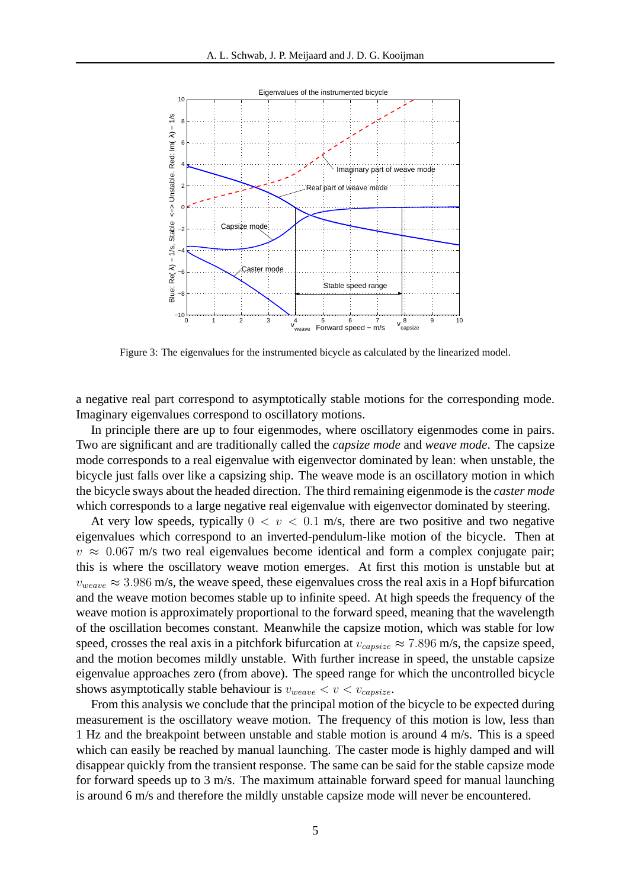<span id="page-4-0"></span>

Figure 3: The eigenvalues for the instrumented bicycle as calculated by the linearized model.

a negative real part correspond to asymptotically stable motions for the corresponding mode. Imaginary eigenvalues correspond to oscillatory motions.

In principle there are up to four eigenmodes, where oscillatory eigenmodes come in pairs. Two are significant and are traditionally called the *capsize mode* and *weave mode*. The capsize mode corresponds to a real eigenvalue with eigenvector dominated by lean: when unstable, the bicycle just falls over like a capsizing ship. The weave mode is an oscillatory motion in which the bicycle sways about the headed direction. The third remaining eigenmode is the *caster mode* which corresponds to a large negative real eigenvalue with eigenvector dominated by steering.

At very low speeds, typically  $0 < v < 0.1$  m/s, there are two positive and two negative eigenvalues which correspond to an inverted-pendulum-like motion of the bicycle. Then at  $v \approx 0.067$  m/s two real eigenvalues become identical and form a complex conjugate pair; this is where the oscillatory weave motion emerges. At first this motion is unstable but at  $v_{weave} \approx 3.986$  m/s, the weave speed, these eigenvalues cross the real axis in a Hopf bifurcation and the weave motion becomes stable up to infinite speed. At high speeds the frequency of the weave motion is approximately proportional to the forward speed, meaning that the wavelength of the oscillation becomes constant. Meanwhile the capsize motion, which was stable for low speed, crosses the real axis in a pitchfork bifurcation at  $v_{consize} \approx 7.896$  m/s, the capsize speed, and the motion becomes mildly unstable. With further increase in speed, the unstable capsize eigenvalue approaches zero (from above). The speed range for which the uncontrolled bicycle shows asymptotically stable behaviour is  $v_{weave} < v < v_{capsize}$ .

From this analysis we conclude that the principal motion of the bicycle to be expected during measurement is the oscillatory weave motion. The frequency of this motion is low, less than 1 Hz and the breakpoint between unstable and stable motion is around 4 m/s. This is a speed which can easily be reached by manual launching. The caster mode is highly damped and will disappear quickly from the transient response. The same can be said for the stable capsize mode for forward speeds up to 3 m/s. The maximum attainable forward speed for manual launching is around 6 m/s and therefore the mildly unstable capsize mode will never be encountered.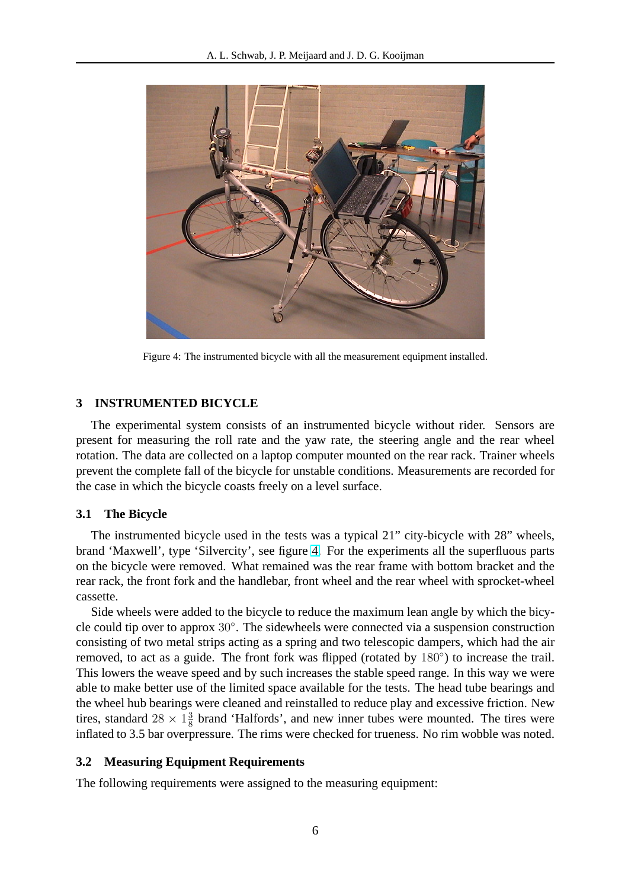<span id="page-5-0"></span>

Figure 4: The instrumented bicycle with all the measurement equipment installed.

## **3 INSTRUMENTED BICYCLE**

The experimental system consists of an instrumented bicycle without rider. Sensors are present for measuring the roll rate and the yaw rate, the steering angle and the rear wheel rotation. The data are collected on a laptop computer mounted on the rear rack. Trainer wheels prevent the complete fall of the bicycle for unstable conditions. Measurements are recorded for the case in which the bicycle coasts freely on a level surface.

## **3.1 The Bicycle**

The instrumented bicycle used in the tests was a typical 21" city-bicycle with 28" wheels, brand 'Maxwell', type 'Silvercity', see figure 4. For the experiments all the superfluous parts on the bicycle were removed. What remained was the rear frame with bottom bracket and the rear rack, the front fork and the handlebar, front wheel and the rear wheel with sprocket-wheel cassette.

Side wheels were added to the bicycle to reduce the maximum lean angle by which the bicycle could tip over to approx 30◦ . The sidewheels were connected via a suspension construction consisting of two metal strips acting as a spring and two telescopic dampers, which had the air removed, to act as a guide. The front fork was flipped (rotated by 180°) to increase the trail. This lowers the weave speed and by such increases the stable speed range. In this way we were able to make better use of the limited space available for the tests. The head tube bearings and the wheel hub bearings were cleaned and reinstalled to reduce play and excessive friction. New tires, standard  $28 \times 1\frac{3}{8}$  $\frac{3}{8}$  brand 'Halfords', and new inner tubes were mounted. The tires were inflated to 3.5 bar overpressure. The rims were checked for trueness. No rim wobble was noted.

## **3.2 Measuring Equipment Requirements**

The following requirements were assigned to the measuring equipment: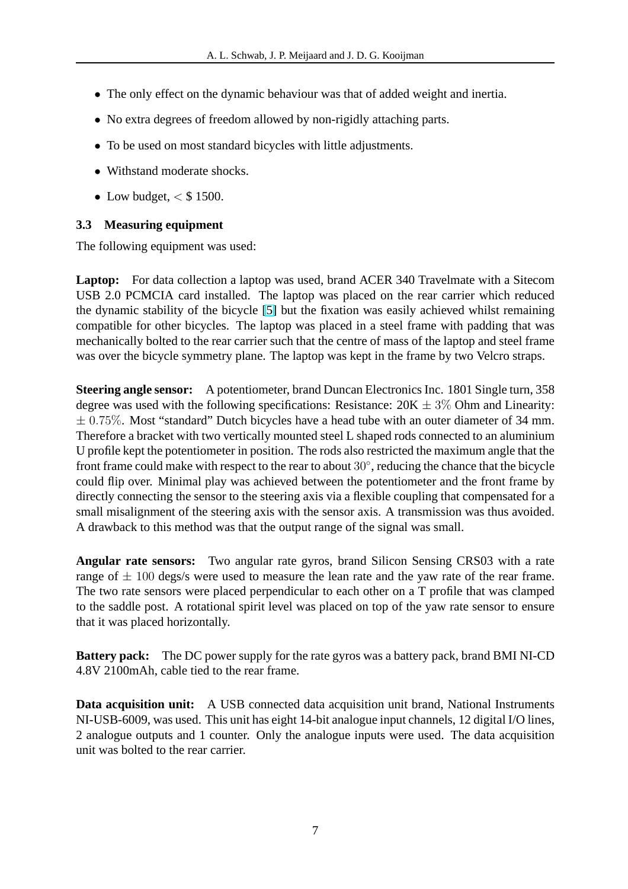- The only effect on the dynamic behaviour was that of added weight and inertia.
- No extra degrees of freedom allowed by non-rigidly attaching parts.
- To be used on most standard bicycles with little adjustments.
- Withstand moderate shocks.
- Low budget,  $\lt$  \$ 1500.

# **3.3 Measuring equipment**

The following equipment was used:

**Laptop:** For data collection a laptop was used, brand ACER 340 Travelmate with a Sitecom USB 2.0 PCMCIA card installed. The laptop was placed on the rear carrier which reduced the dynamic stability of the bicycle [\[5\]](#page-15-0) but the fixation was easily achieved whilst remaining compatible for other bicycles. The laptop was placed in a steel frame with padding that was mechanically bolted to the rear carrier such that the centre of mass of the laptop and steel frame was over the bicycle symmetry plane. The laptop was kept in the frame by two Velcro straps.

**Steering angle sensor:** A potentiometer, brand Duncan Electronics Inc. 1801 Single turn, 358 degree was used with the following specifications: Resistance:  $20K \pm 3\%$  Ohm and Linearity:  $\pm$  0.75%. Most "standard" Dutch bicycles have a head tube with an outer diameter of 34 mm. Therefore a bracket with two vertically mounted steel L shaped rods connected to an aluminium U profile kept the potentiometer in position. The rods also restricted the maximum angle that the front frame could make with respect to the rear to about 30°, reducing the chance that the bicycle could flip over. Minimal play was achieved between the potentiometer and the front frame by directly connecting the sensor to the steering axis via a flexible coupling that compensated for a small misalignment of the steering axis with the sensor axis. A transmission was thus avoided. A drawback to this method was that the output range of the signal was small.

**Angular rate sensors:** Two angular rate gyros, brand Silicon Sensing CRS03 with a rate range of  $\pm$  100 degs/s were used to measure the lean rate and the yaw rate of the rear frame. The two rate sensors were placed perpendicular to each other on a T profile that was clamped to the saddle post. A rotational spirit level was placed on top of the yaw rate sensor to ensure that it was placed horizontally.

**Battery pack:** The DC power supply for the rate gyros was a battery pack, brand BMI NI-CD 4.8V 2100mAh, cable tied to the rear frame.

**Data acquisition unit:** A USB connected data acquisition unit brand, National Instruments NI-USB-6009, was used. This unit has eight 14-bit analogue input channels, 12 digital I/O lines, 2 analogue outputs and 1 counter. Only the analogue inputs were used. The data acquisition unit was bolted to the rear carrier.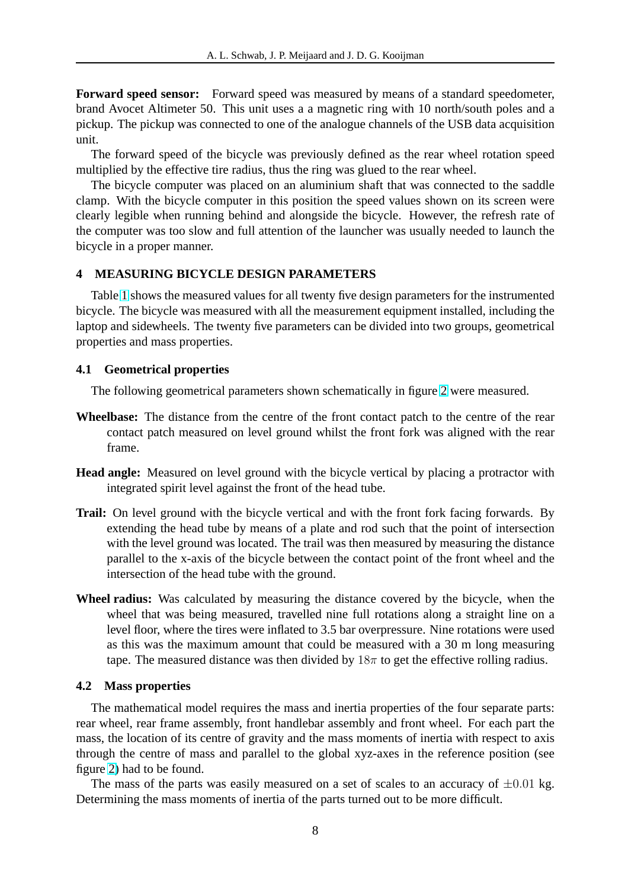**Forward speed sensor:** Forward speed was measured by means of a standard speedometer, brand Avocet Altimeter 50. This unit uses a a magnetic ring with 10 north/south poles and a pickup. The pickup was connected to one of the analogue channels of the USB data acquisition unit.

The forward speed of the bicycle was previously defined as the rear wheel rotation speed multiplied by the effective tire radius, thus the ring was glued to the rear wheel.

The bicycle computer was placed on an aluminium shaft that was connected to the saddle clamp. With the bicycle computer in this position the speed values shown on its screen were clearly legible when running behind and alongside the bicycle. However, the refresh rate of the computer was too slow and full attention of the launcher was usually needed to launch the bicycle in a proper manner.

## **4 MEASURING BICYCLE DESIGN PARAMETERS**

Table [1](#page-11-0) shows the measured values for all twenty five design parameters for the instrumented bicycle. The bicycle was measured with all the measurement equipment installed, including the laptop and sidewheels. The twenty five parameters can be divided into two groups, geometrical properties and mass properties.

## **4.1 Geometrical properties**

The following geometrical parameters shown schematically in figure [2](#page-2-0) were measured.

- **Wheelbase:** The distance from the centre of the front contact patch to the centre of the rear contact patch measured on level ground whilst the front fork was aligned with the rear frame.
- **Head angle:** Measured on level ground with the bicycle vertical by placing a protractor with integrated spirit level against the front of the head tube.
- **Trail:** On level ground with the bicycle vertical and with the front fork facing forwards. By extending the head tube by means of a plate and rod such that the point of intersection with the level ground was located. The trail was then measured by measuring the distance parallel to the x-axis of the bicycle between the contact point of the front wheel and the intersection of the head tube with the ground.
- **Wheel radius:** Was calculated by measuring the distance covered by the bicycle, when the wheel that was being measured, travelled nine full rotations along a straight line on a level floor, where the tires were inflated to 3.5 bar overpressure. Nine rotations were used as this was the maximum amount that could be measured with a 30 m long measuring tape. The measured distance was then divided by  $18\pi$  to get the effective rolling radius.

#### **4.2 Mass properties**

The mathematical model requires the mass and inertia properties of the four separate parts: rear wheel, rear frame assembly, front handlebar assembly and front wheel. For each part the mass, the location of its centre of gravity and the mass moments of inertia with respect to axis through the centre of mass and parallel to the global xyz-axes in the reference position (see figure [2\)](#page-2-0) had to be found.

The mass of the parts was easily measured on a set of scales to an accuracy of  $\pm 0.01$  kg. Determining the mass moments of inertia of the parts turned out to be more difficult.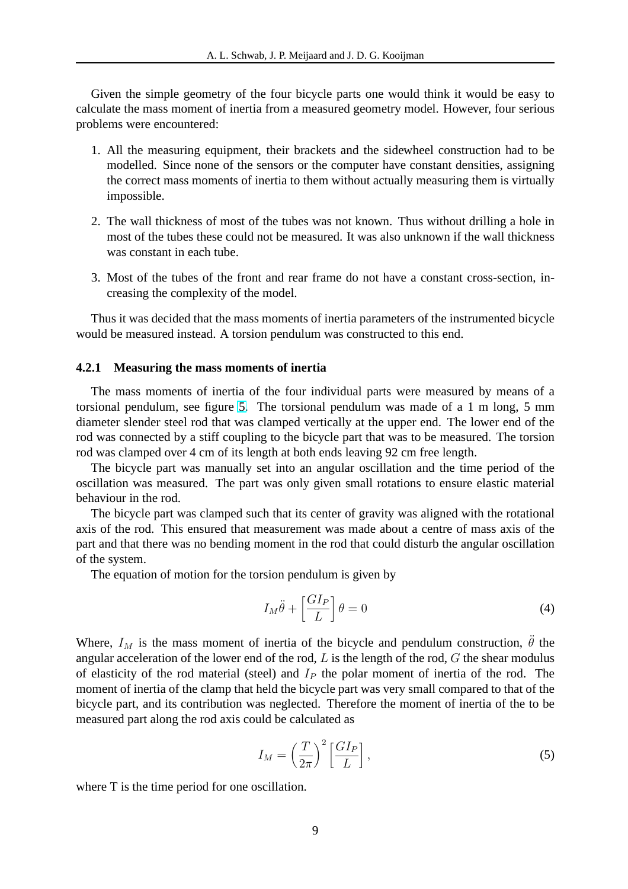Given the simple geometry of the four bicycle parts one would think it would be easy to calculate the mass moment of inertia from a measured geometry model. However, four serious problems were encountered:

- 1. All the measuring equipment, their brackets and the sidewheel construction had to be modelled. Since none of the sensors or the computer have constant densities, assigning the correct mass moments of inertia to them without actually measuring them is virtually impossible.
- 2. The wall thickness of most of the tubes was not known. Thus without drilling a hole in most of the tubes these could not be measured. It was also unknown if the wall thickness was constant in each tube.
- 3. Most of the tubes of the front and rear frame do not have a constant cross-section, increasing the complexity of the model.

Thus it was decided that the mass moments of inertia parameters of the instrumented bicycle would be measured instead. A torsion pendulum was constructed to this end.

#### **4.2.1 Measuring the mass moments of inertia**

The mass moments of inertia of the four individual parts were measured by means of a torsional pendulum, see figure [5.](#page-9-0) The torsional pendulum was made of a 1 m long, 5 mm diameter slender steel rod that was clamped vertically at the upper end. The lower end of the rod was connected by a stiff coupling to the bicycle part that was to be measured. The torsion rod was clamped over 4 cm of its length at both ends leaving 92 cm free length.

The bicycle part was manually set into an angular oscillation and the time period of the oscillation was measured. The part was only given small rotations to ensure elastic material behaviour in the rod.

The bicycle part was clamped such that its center of gravity was aligned with the rotational axis of the rod. This ensured that measurement was made about a centre of mass axis of the part and that there was no bending moment in the rod that could disturb the angular oscillation of the system.

The equation of motion for the torsion pendulum is given by

$$
I_M \ddot{\theta} + \left[\frac{GI_P}{L}\right] \theta = 0\tag{4}
$$

Where,  $I_M$  is the mass moment of inertia of the bicycle and pendulum construction,  $\ddot{\theta}$  the angular acceleration of the lower end of the rod,  $L$  is the length of the rod,  $G$  the shear modulus of elasticity of the rod material (steel) and  $I<sub>P</sub>$  the polar moment of inertia of the rod. The moment of inertia of the clamp that held the bicycle part was very small compared to that of the bicycle part, and its contribution was neglected. Therefore the moment of inertia of the to be measured part along the rod axis could be calculated as

$$
I_M = \left(\frac{T}{2\pi}\right)^2 \left[\frac{GI_P}{L}\right],\tag{5}
$$

where T is the time period for one oscillation.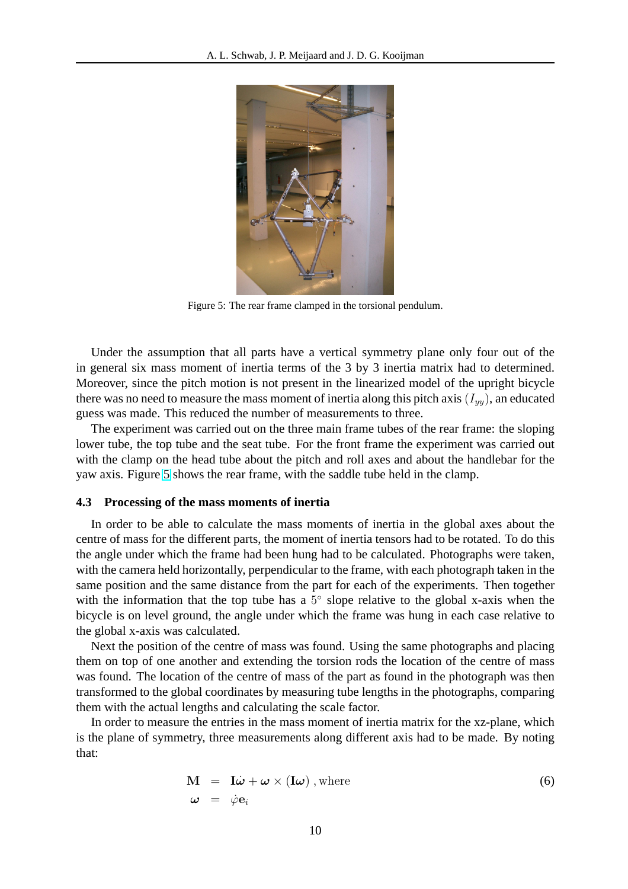<span id="page-9-0"></span>

Figure 5: The rear frame clamped in the torsional pendulum.

Under the assumption that all parts have a vertical symmetry plane only four out of the in general six mass moment of inertia terms of the 3 by 3 inertia matrix had to determined. Moreover, since the pitch motion is not present in the linearized model of the upright bicycle there was no need to measure the mass moment of inertia along this pitch axis  $(I_{yy})$ , an educated guess was made. This reduced the number of measurements to three.

The experiment was carried out on the three main frame tubes of the rear frame: the sloping lower tube, the top tube and the seat tube. For the front frame the experiment was carried out with the clamp on the head tube about the pitch and roll axes and about the handlebar for the yaw axis. Figure 5 shows the rear frame, with the saddle tube held in the clamp.

### **4.3 Processing of the mass moments of inertia**

In order to be able to calculate the mass moments of inertia in the global axes about the centre of mass for the different parts, the moment of inertia tensors had to be rotated. To do this the angle under which the frame had been hung had to be calculated. Photographs were taken, with the camera held horizontally, perpendicular to the frame, with each photograph taken in the same position and the same distance from the part for each of the experiments. Then together with the information that the top tube has a  $5^{\circ}$  slope relative to the global x-axis when the bicycle is on level ground, the angle under which the frame was hung in each case relative to the global x-axis was calculated.

Next the position of the centre of mass was found. Using the same photographs and placing them on top of one another and extending the torsion rods the location of the centre of mass was found. The location of the centre of mass of the part as found in the photograph was then transformed to the global coordinates by measuring tube lengths in the photographs, comparing them with the actual lengths and calculating the scale factor.

In order to measure the entries in the mass moment of inertia matrix for the xz-plane, which is the plane of symmetry, three measurements along different axis had to be made. By noting that:

$$
\mathbf{M} = \mathbf{I}\dot{\boldsymbol{\omega}} + \boldsymbol{\omega} \times (\mathbf{I}\boldsymbol{\omega}), \text{where}
$$
\n
$$
\boldsymbol{\omega} = \dot{\varphi} \mathbf{e}_i
$$
\n(6)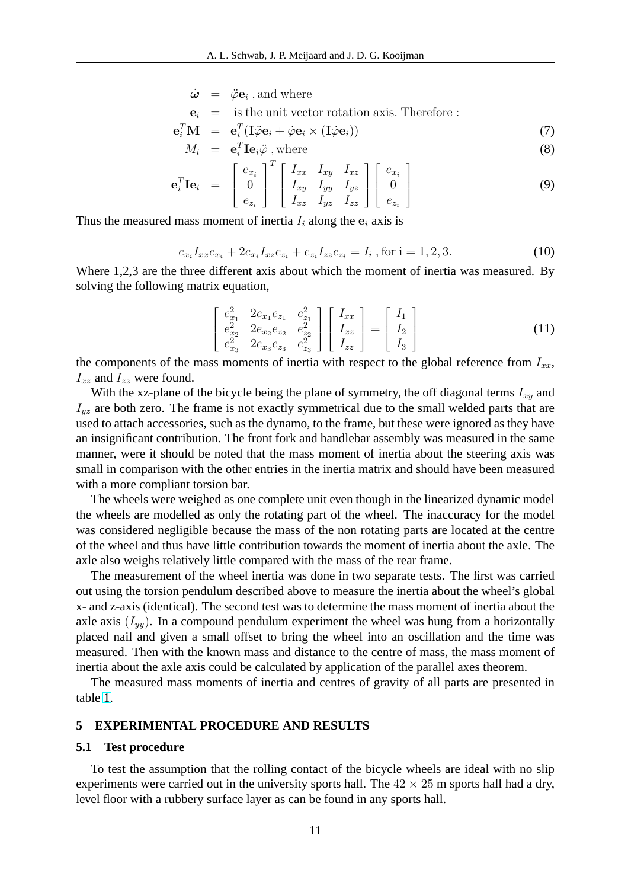$$
\dot{\boldsymbol{\omega}}\;\;=\;\;\ddot{\varphi}\mathbf{e}_i \; \text{, and where }
$$

$$
\mathbf{e}_i
$$
 = is the unit vector rotation axis. Therefore :

$$
\mathbf{e}_i^T \mathbf{M} = \mathbf{e}_i^T (\mathbf{I} \ddot{\varphi} \mathbf{e}_i + \dot{\varphi} \mathbf{e}_i \times (\mathbf{I} \dot{\varphi} \mathbf{e}_i)) \tag{7}
$$

$$
M_i = \mathbf{e}_i^T \mathbf{I} \mathbf{e}_i \ddot{\varphi}, \text{where}
$$
 (8)

$$
\mathbf{e}_i^T \mathbf{I} \mathbf{e}_i = \begin{bmatrix} e_{x_i} \\ 0 \\ e_{z_i} \end{bmatrix}^T \begin{bmatrix} I_{xx} & I_{xy} & I_{xz} \\ I_{xy} & I_{yy} & I_{yz} \\ I_{xz} & I_{yz} & I_{zz} \end{bmatrix} \begin{bmatrix} e_{x_i} \\ 0 \\ e_{z_i} \end{bmatrix}
$$
(9)

Thus the measured mass moment of inertia  $I_i$  along the  $e_i$  axis is

$$
e_{x_i}I_{xx}e_{x_i} + 2e_{x_i}I_{xz}e_{z_i} + e_{z_i}I_{zz}e_{z_i} = I_i, \text{ for } i = 1, 2, 3. \tag{10}
$$

Where 1,2,3 are the three different axis about which the moment of inertia was measured. By solving the following matrix equation,

$$
\begin{bmatrix} e_{x_1}^2 & 2e_{x_1}e_{z_1} & e_{z_1}^2 \ e_{x_2}^2 & 2e_{x_2}e_{z_2} & e_{z_2}^2 \ e_{x_3}^2 & 2e_{x_3}e_{z_3} & e_{z_3}^2 \end{bmatrix} \begin{bmatrix} I_{xx} \\ I_{xz} \\ I_{zz} \end{bmatrix} = \begin{bmatrix} I_1 \\ I_2 \\ I_3 \end{bmatrix}
$$
 (11)

the components of the mass moments of inertia with respect to the global reference from  $I_{xx}$ ,  $I_{xz}$  and  $I_{zz}$  were found.

With the xz-plane of the bicycle being the plane of symmetry, the off diagonal terms  $I_{xy}$  and  $I_{yz}$  are both zero. The frame is not exactly symmetrical due to the small welded parts that are used to attach accessories, such as the dynamo, to the frame, but these were ignored as they have an insignificant contribution. The front fork and handlebar assembly was measured in the same manner, were it should be noted that the mass moment of inertia about the steering axis was small in comparison with the other entries in the inertia matrix and should have been measured with a more compliant torsion bar.

The wheels were weighed as one complete unit even though in the linearized dynamic model the wheels are modelled as only the rotating part of the wheel. The inaccuracy for the model was considered negligible because the mass of the non rotating parts are located at the centre of the wheel and thus have little contribution towards the moment of inertia about the axle. The axle also weighs relatively little compared with the mass of the rear frame.

The measurement of the wheel inertia was done in two separate tests. The first was carried out using the torsion pendulum described above to measure the inertia about the wheel's global x- and z-axis (identical). The second test was to determine the mass moment of inertia about the axle axis  $(I_{yy})$ . In a compound pendulum experiment the wheel was hung from a horizontally placed nail and given a small offset to bring the wheel into an oscillation and the time was measured. Then with the known mass and distance to the centre of mass, the mass moment of inertia about the axle axis could be calculated by application of the parallel axes theorem.

The measured mass moments of inertia and centres of gravity of all parts are presented in table [1.](#page-11-0)

#### **5 EXPERIMENTAL PROCEDURE AND RESULTS**

#### **5.1 Test procedure**

To test the assumption that the rolling contact of the bicycle wheels are ideal with no slip experiments were carried out in the university sports hall. The  $42 \times 25$  m sports hall had a dry, level floor with a rubbery surface layer as can be found in any sports hall.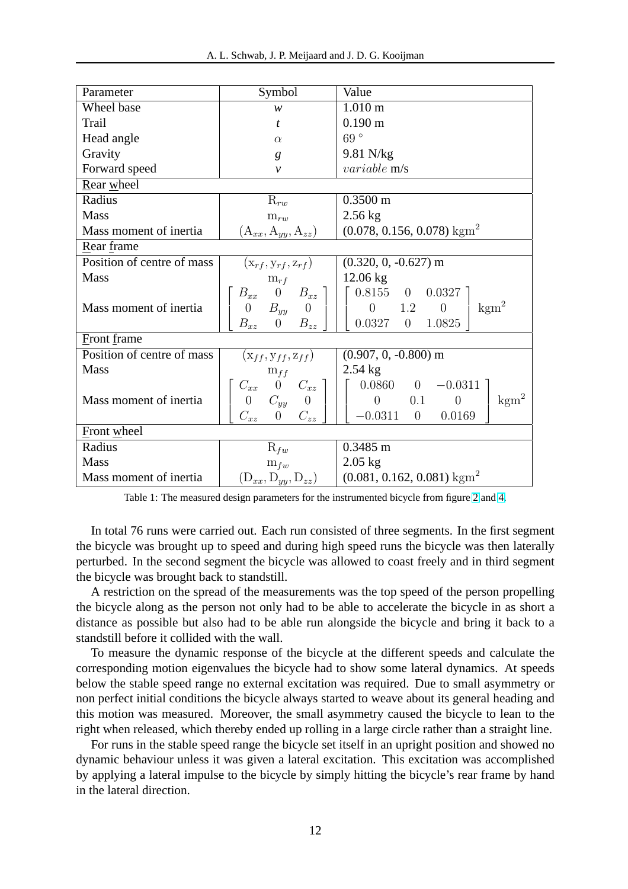<span id="page-11-0"></span>

| Parameter                  | Symbol                                                                                                             | Value                                                                                                                   |
|----------------------------|--------------------------------------------------------------------------------------------------------------------|-------------------------------------------------------------------------------------------------------------------------|
| Wheel base                 | W                                                                                                                  | $1.010 \;{\rm m}$                                                                                                       |
| Trail                      | t                                                                                                                  | $0.190 \text{ m}$                                                                                                       |
| Head angle                 | $\alpha$                                                                                                           | 69°                                                                                                                     |
| Gravity                    | g                                                                                                                  | 9.81 N/kg                                                                                                               |
| Forward speed              | $\mathcal{V}$                                                                                                      | variable m/s                                                                                                            |
| Rear wheel                 |                                                                                                                    |                                                                                                                         |
| Radius                     | $\mathrm{R}_{rw}$                                                                                                  | $0.3500 \text{ m}$                                                                                                      |
| <b>Mass</b>                | $m_{rw}$                                                                                                           | $2.56$ kg                                                                                                               |
| Mass moment of inertia     | $(A_{xx}, A_{yy}, A_{zz})$                                                                                         | $(0.078, 0.156, 0.078)$ kgm <sup>2</sup>                                                                                |
| Rear frame                 |                                                                                                                    |                                                                                                                         |
| Position of centre of mass | $(\mathbf{x}_{rf}, \mathbf{y}_{rf}, \mathbf{z}_{rf})$                                                              | $(0.320, 0, -0.627)$ m                                                                                                  |
| <b>Mass</b>                | $m_{rf}$                                                                                                           | $12.06 \text{ kg}$                                                                                                      |
| Mass moment of inertia     | $B_{xx}$ 0 $B_{xz}$ ]<br>$0 \t B_{yy} \t 0$<br>$B_{xz}$ 0 $B_{zz}$                                                 | $0.8155 \quad 0 \quad 0.0327$ ]<br>$\text{kgm}^2$<br>$0 \t 1.2$<br>$\overline{0}$<br>0.0327<br>$\overline{0}$<br>1.0825 |
| Front frame                |                                                                                                                    |                                                                                                                         |
| Position of centre of mass | $(\mathbf{x}_{ff}, \mathbf{y}_{ff}, \mathbf{z}_{ff})$                                                              | $(0.907, 0, -0.800)$ m                                                                                                  |
| <b>Mass</b>                | $m_{ff}$                                                                                                           | $2.54$ kg                                                                                                               |
| Mass moment of inertia     | $C_{xx}$ 0 $C_{xz}$ ]<br>$\begin{array}{ccc} 0 & C_{yy} & 0 \end{array}$<br>$C_{xz}$<br>$C_{zz}$<br>$\overline{0}$ | $0.0860 \qquad 0 \qquad -0.0311$<br>$\text{kgm}^2$<br>$\overline{0}$<br>$\overline{0}$<br>0.1<br>$-0.0311$ 0<br>0.0169  |
| <b>Front</b> wheel         |                                                                                                                    |                                                                                                                         |
| Radius                     | $\mathrm{R}_{fw}$                                                                                                  | $0.3485$ m                                                                                                              |
| <b>Mass</b>                | $m_{fw}$                                                                                                           | $2.05$ kg                                                                                                               |
| Mass moment of inertia     | $(D_{xx}, D_{yy}, D_{zz})$                                                                                         | $(0.081, 0.162, 0.081)$ kgm <sup>2</sup>                                                                                |

Table 1: The measured design parameters for the instrumented bicycle from figure [2](#page-2-0) and [4.](#page-5-0)

In total 76 runs were carried out. Each run consisted of three segments. In the first segment the bicycle was brought up to speed and during high speed runs the bicycle was then laterally perturbed. In the second segment the bicycle was allowed to coast freely and in third segment the bicycle was brought back to standstill.

A restriction on the spread of the measurements was the top speed of the person propelling the bicycle along as the person not only had to be able to accelerate the bicycle in as short a distance as possible but also had to be able run alongside the bicycle and bring it back to a standstill before it collided with the wall.

To measure the dynamic response of the bicycle at the different speeds and calculate the corresponding motion eigenvalues the bicycle had to show some lateral dynamics. At speeds below the stable speed range no external excitation was required. Due to small asymmetry or non perfect initial conditions the bicycle always started to weave about its general heading and this motion was measured. Moreover, the small asymmetry caused the bicycle to lean to the right when released, which thereby ended up rolling in a large circle rather than a straight line.

For runs in the stable speed range the bicycle set itself in an upright position and showed no dynamic behaviour unless it was given a lateral excitation. This excitation was accomplished by applying a lateral impulse to the bicycle by simply hitting the bicycle's rear frame by hand in the lateral direction.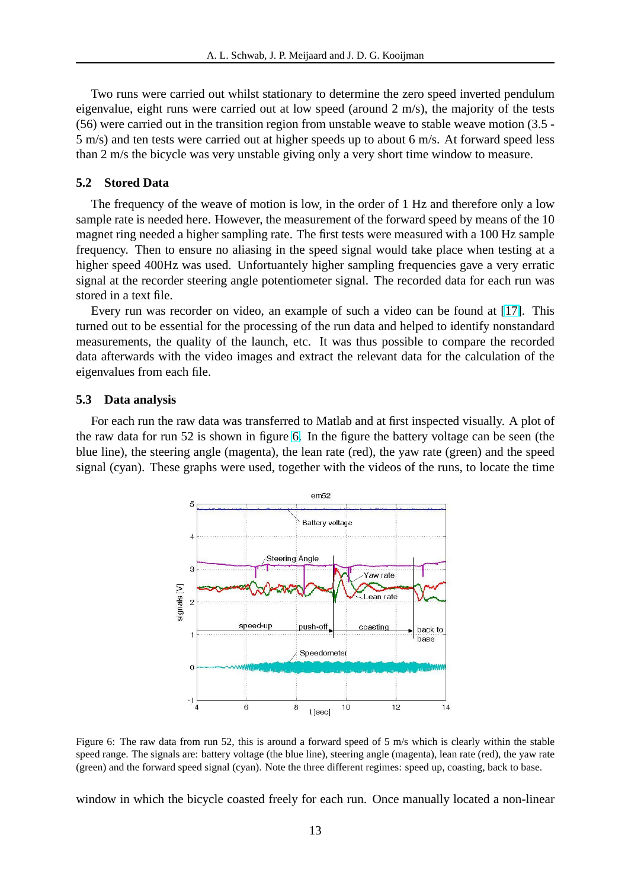<span id="page-12-0"></span>Two runs were carried out whilst stationary to determine the zero speed inverted pendulum eigenvalue, eight runs were carried out at low speed (around 2 m/s), the majority of the tests (56) were carried out in the transition region from unstable weave to stable weave motion (3.5 - 5 m/s) and ten tests were carried out at higher speeds up to about 6 m/s. At forward speed less than 2 m/s the bicycle was very unstable giving only a very short time window to measure.

# **5.2 Stored Data**

The frequency of the weave of motion is low, in the order of 1 Hz and therefore only a low sample rate is needed here. However, the measurement of the forward speed by means of the 10 magnet ring needed a higher sampling rate. The first tests were measured with a 100 Hz sample frequency. Then to ensure no aliasing in the speed signal would take place when testing at a higher speed 400Hz was used. Unfortuantely higher sampling frequencies gave a very erratic signal at the recorder steering angle potentiometer signal. The recorded data for each run was stored in a text file.

Every run was recorder on video, an example of such a video can be found at [\[17\]](#page-15-0). This turned out to be essential for the processing of the run data and helped to identify nonstandard measurements, the quality of the launch, etc. It was thus possible to compare the recorded data afterwards with the video images and extract the relevant data for the calculation of the eigenvalues from each file.

#### **5.3 Data analysis**

For each run the raw data was transferred to Matlab and at first inspected visually. A plot of the raw data for run 52 is shown in figure 6. In the figure the battery voltage can be seen (the blue line), the steering angle (magenta), the lean rate (red), the yaw rate (green) and the speed signal (cyan). These graphs were used, together with the videos of the runs, to locate the time



Figure 6: The raw data from run 52, this is around a forward speed of 5 m/s which is clearly within the stable speed range. The signals are: battery voltage (the blue line), steering angle (magenta), lean rate (red), the yaw rate (green) and the forward speed signal (cyan). Note the three different regimes: speed up, coasting, back to base.

window in which the bicycle coasted freely for each run. Once manually located a non-linear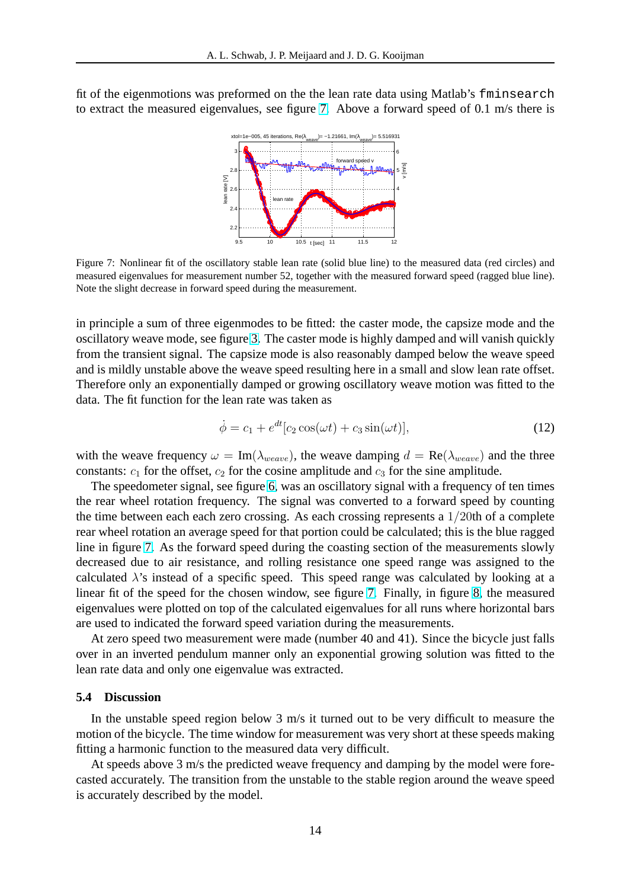fit of the eigenmotions was preformed on the the lean rate data using Matlab's fminsearch to extract the measured eigenvalues, see figure 7. Above a forward speed of 0.1 m/s there is



Figure 7: Nonlinear fit of the oscillatory stable lean rate (solid blue line) to the measured data (red circles) and measured eigenvalues for measurement number 52, together with the measured forward speed (ragged blue line). Note the slight decrease in forward speed during the measurement.

in principle a sum of three eigenmodes to be fitted: the caster mode, the capsize mode and the oscillatory weave mode, see figure [3.](#page-4-0) The caster mode is highly damped and will vanish quickly from the transient signal. The capsize mode is also reasonably damped below the weave speed and is mildly unstable above the weave speed resulting here in a small and slow lean rate offset. Therefore only an exponentially damped or growing oscillatory weave motion was fitted to the data. The fit function for the lean rate was taken as

$$
\dot{\phi} = c_1 + e^{dt} [c_2 \cos(\omega t) + c_3 \sin(\omega t)],\tag{12}
$$

with the weave frequency  $\omega = \text{Im}(\lambda_{weave})$ , the weave damping  $d = \text{Re}(\lambda_{weave})$  and the three constants:  $c_1$  for the offset,  $c_2$  for the cosine amplitude and  $c_3$  for the sine amplitude.

The speedometer signal, see figure [6,](#page-12-0) was an oscillatory signal with a frequency of ten times the rear wheel rotation frequency. The signal was converted to a forward speed by counting the time between each each zero crossing. As each crossing represents a 1/20th of a complete rear wheel rotation an average speed for that portion could be calculated; this is the blue ragged line in figure 7. As the forward speed during the coasting section of the measurements slowly decreased due to air resistance, and rolling resistance one speed range was assigned to the calculated  $\lambda$ 's instead of a specific speed. This speed range was calculated by looking at a linear fit of the speed for the chosen window, see figure 7. Finally, in figure [8,](#page-14-0) the measured eigenvalues were plotted on top of the calculated eigenvalues for all runs where horizontal bars are used to indicated the forward speed variation during the measurements.

At zero speed two measurement were made (number 40 and 41). Since the bicycle just falls over in an inverted pendulum manner only an exponential growing solution was fitted to the lean rate data and only one eigenvalue was extracted.

#### **5.4 Discussion**

In the unstable speed region below 3 m/s it turned out to be very difficult to measure the motion of the bicycle. The time window for measurement was very short at these speeds making fitting a harmonic function to the measured data very difficult.

At speeds above 3 m/s the predicted weave frequency and damping by the model were forecasted accurately. The transition from the unstable to the stable region around the weave speed is accurately described by the model.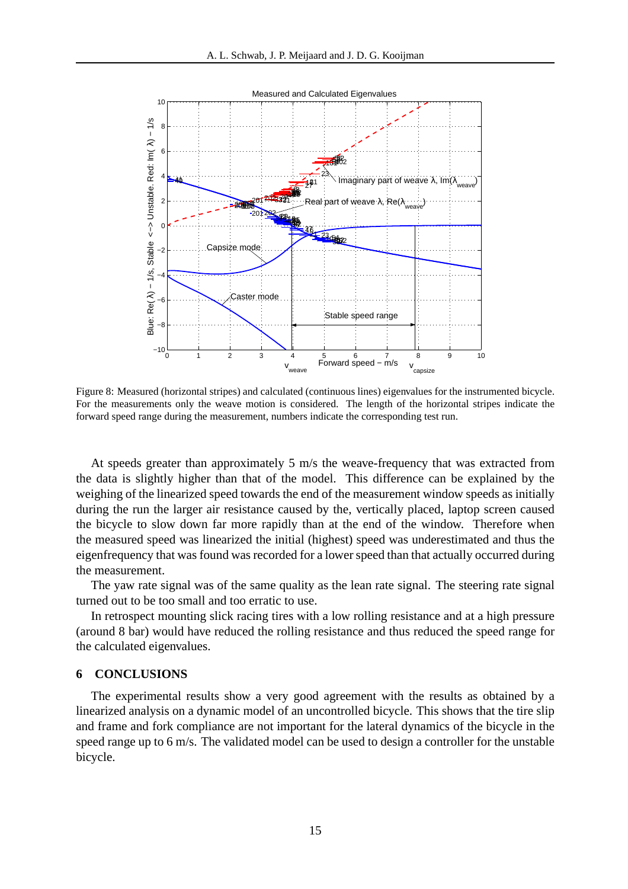<span id="page-14-0"></span>

Figure 8: Measured (horizontal stripes) and calculated (continuous lines) eigenvalues for the instrumented bicycle. For the measurements only the weave motion is considered. The length of the horizontal stripes indicate the forward speed range during the measurement, numbers indicate the corresponding test run.

At speeds greater than approximately 5 m/s the weave-frequency that was extracted from the data is slightly higher than that of the model. This difference can be explained by the weighing of the linearized speed towards the end of the measurement window speeds as initially during the run the larger air resistance caused by the, vertically placed, laptop screen caused the bicycle to slow down far more rapidly than at the end of the window. Therefore when the measured speed was linearized the initial (highest) speed was underestimated and thus the eigenfrequency that was found was recorded for a lower speed than that actually occurred during the measurement.

The yaw rate signal was of the same quality as the lean rate signal. The steering rate signal turned out to be too small and too erratic to use.

In retrospect mounting slick racing tires with a low rolling resistance and at a high pressure (around 8 bar) would have reduced the rolling resistance and thus reduced the speed range for the calculated eigenvalues.

## **6 CONCLUSIONS**

The experimental results show a very good agreement with the results as obtained by a linearized analysis on a dynamic model of an uncontrolled bicycle. This shows that the tire slip and frame and fork compliance are not important for the lateral dynamics of the bicycle in the speed range up to 6 m/s. The validated model can be used to design a controller for the unstable bicycle.